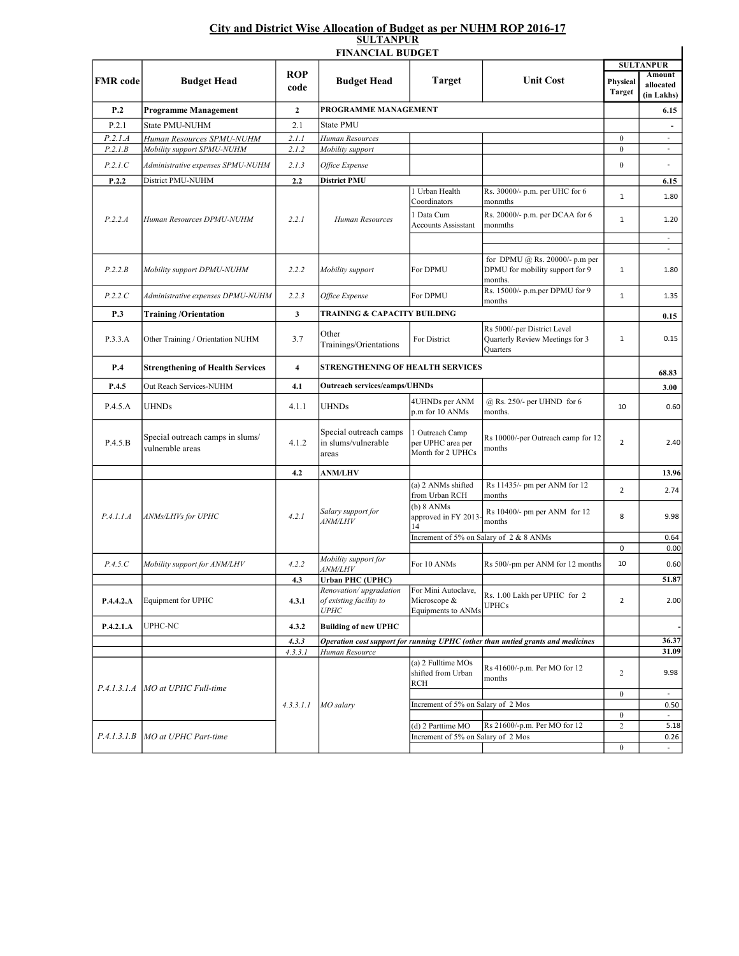## City and District Wise Allocation of Budget as per NUHM ROP 2016-17 SULTANPUR

|                 | <b>FINANCIAL BUDGET</b>                              |                         |                                                                  |                                                           |                                                                                 |                           |                                                       |  |
|-----------------|------------------------------------------------------|-------------------------|------------------------------------------------------------------|-----------------------------------------------------------|---------------------------------------------------------------------------------|---------------------------|-------------------------------------------------------|--|
| <b>FMR</b> code | <b>Budget Head</b>                                   | <b>ROP</b><br>code      | <b>Budget Head</b>                                               | <b>Target</b>                                             | <b>Unit Cost</b>                                                                | Physical<br><b>Target</b> | <b>SULTANPUR</b><br>Amount<br>allocated<br>(in Lakhs) |  |
| P.2             | <b>Programme Management</b>                          | $\mathbf{2}$            | PROGRAMME MANAGEMENT                                             |                                                           |                                                                                 |                           | 6.15                                                  |  |
| P.2.1           | State PMU-NUHM                                       | 2.1                     | State PMU                                                        |                                                           |                                                                                 |                           |                                                       |  |
| P.2.1.A         | Human Resources SPMU-NUHM                            | 2.1.1                   | Human Resources                                                  |                                                           |                                                                                 | $\boldsymbol{0}$          | $\qquad \qquad \blacksquare$                          |  |
| P.2.1.B         | Mobility support SPMU-NUHM                           | 2.1.2                   | Mobility support                                                 |                                                           |                                                                                 | $\boldsymbol{0}$          |                                                       |  |
| P.2.1.C         | Administrative expenses SPMU-NUHM                    | 2.1.3                   | Office Expense                                                   |                                                           |                                                                                 | $\boldsymbol{0}$          | $\sim$                                                |  |
| P.2.2           | District PMU-NUHM                                    | 2.2                     | District PMU                                                     |                                                           |                                                                                 |                           | 6.15                                                  |  |
| P.2.2.A         | Human Resources DPMU-NUHM                            | 2.2.1                   | Human Resources                                                  | 1 Urban Health<br>Coordinators                            | Rs. 30000/- p.m. per UHC for 6<br>monmths                                       | $\mathbf{1}$              | 1.80                                                  |  |
|                 |                                                      |                         |                                                                  | 1 Data Cum<br><b>Accounts Assisstant</b>                  | Rs. 20000/- p.m. per DCAA for 6<br>monmths                                      | 1                         | 1.20                                                  |  |
|                 |                                                      |                         |                                                                  |                                                           |                                                                                 |                           | $\omega$                                              |  |
| P.2.2.B         | Mobility support DPMU-NUHM                           | 2.2.2                   | Mobility support                                                 | For DPMU                                                  | for DPMU @ Rs. 20000/- p.m per<br>DPMU for mobility support for 9<br>months.    | $\mathbf 1$               | 1.80                                                  |  |
| P.2.2.C         | Administrative expenses DPMU-NUHM                    | 2.2.3                   | Office Expense                                                   | For DPMU                                                  | Rs. 15000/- p.m.per DPMU for 9<br>months                                        | $\mathbf 1$               | 1.35                                                  |  |
| P.3             | <b>Training/Orientation</b>                          | 3                       | <b>TRAINING &amp; CAPACITY BUILDING</b>                          |                                                           |                                                                                 |                           | 0.15                                                  |  |
| P.3.3.A         | Other Training / Orientation NUHM                    | 3.7                     | Other<br>Trainings/Orientations                                  | For District                                              | Rs 5000/-per District Level<br>Quarterly Review Meetings for 3<br>Quarters      | 1                         | 0.15                                                  |  |
| P.4             | <b>Strengthening of Health Services</b>              | $\overline{\mathbf{4}}$ | STRENGTHENING OF HEALTH SERVICES                                 |                                                           |                                                                                 |                           | 68.83                                                 |  |
| P.4.5           | Out Reach Services-NUHM                              | 4.1                     | <b>Outreach services/camps/UHNDs</b>                             |                                                           |                                                                                 |                           | 3.00                                                  |  |
| P.4.5.A         | <b>UHNDs</b>                                         | 4.1.1                   | <b>UHNDs</b>                                                     | 4UHNDs per ANM<br>p.m for 10 ANMs                         | @ Rs. 250/- per UHND for 6<br>months.                                           | 10                        | 0.60                                                  |  |
| P.4.5.B         | Special outreach camps in slums/<br>vulnerable areas | 4.1.2                   | Special outreach camps<br>in slums/vulnerable<br>areas           | l Outreach Camp<br>per UPHC area per<br>Month for 2 UPHCs | Rs 10000/-per Outreach camp for 12<br>months                                    | $\overline{2}$            | 2.40                                                  |  |
|                 |                                                      | 4.2                     | <b>ANM/LHV</b>                                                   |                                                           |                                                                                 |                           | 13.96                                                 |  |
|                 |                                                      |                         |                                                                  | (a) 2 ANMs shifted<br>from Urban RCH                      | Rs 11435/- pm per ANM for 12<br>months                                          | $\overline{2}$            | 2.74                                                  |  |
| P.4.1.1.A       | ANMs/LHVs for UPHC                                   | 4.2.1                   | Salary support for<br><i>ANM/LHV</i>                             | (b) 8 ANMs<br>approved in FY 2013-<br>14                  | Rs 10400/- pm per ANM for 12<br>months                                          | 8                         | 9.98                                                  |  |
|                 |                                                      |                         |                                                                  | Increment of 5% on Salary of 2 & 8 ANMs                   |                                                                                 |                           | 0.64                                                  |  |
|                 |                                                      |                         | Mobility support for                                             |                                                           |                                                                                 | 0                         | 0.00                                                  |  |
| P.4.5.C         | Mobility support for ANM/LHV                         | 4.2.2                   | <i>ANM/LHV</i>                                                   | For 10 ANMs                                               | Rs 500/-pm per ANM for 12 months                                                | 10                        | 0.60                                                  |  |
|                 |                                                      | 4.3                     | <b>Urban PHC (UPHC)</b>                                          |                                                           |                                                                                 |                           | 51.87                                                 |  |
| P.4.4.2.A       | Equipment for UPHC                                   | 4.3.1                   | Renovation/upgradation<br>of existing facility to<br><b>UPHC</b> | For Mini Autoclave,<br>Microscope &<br>Equipments to ANMs | Rs. 1.00 Lakh per UPHC for 2<br><b>UPHCs</b>                                    | $\overline{2}$            | 2.00                                                  |  |
| P.4.2.1.A       | UPHC-NC                                              | 4.3.2                   | <b>Building of new UPHC</b>                                      |                                                           |                                                                                 |                           |                                                       |  |
|                 |                                                      | 4.3.3                   |                                                                  |                                                           | Operation cost support for running UPHC (other than untied grants and medicines |                           | 36.37                                                 |  |
|                 |                                                      | 4.3.3.1                 | Human Resource                                                   |                                                           |                                                                                 |                           | 31.09                                                 |  |
| P.4.1.3.1.A     | MO at UPHC Full-time                                 |                         |                                                                  | (a) 2 Fulltime MOs<br>shifted from Urban<br>RCH           | Rs 41600/-p.m. Per MO for 12<br>months                                          | $\overline{c}$            | 9.98                                                  |  |
|                 |                                                      |                         |                                                                  |                                                           |                                                                                 | $\boldsymbol{0}$          | $\overline{\phantom{a}}$                              |  |
|                 |                                                      | 4.3.3.1.1               | MO salary                                                        | Increment of 5% on Salary of 2 Mos                        |                                                                                 | $\bf{0}$                  | 0.50                                                  |  |
|                 |                                                      |                         |                                                                  | (d) 2 Parttime MO                                         | Rs 21600/-p.m. Per MO for 12                                                    | $\overline{c}$            | $\blacksquare$<br>5.18                                |  |
| P.4.1.3.1.B     | MO at UPHC Part-time                                 |                         |                                                                  | Increment of 5% on Salary of 2 Mos                        |                                                                                 |                           | 0.26                                                  |  |
|                 |                                                      |                         |                                                                  |                                                           |                                                                                 | $\boldsymbol{0}$          | $\omega$ .                                            |  |